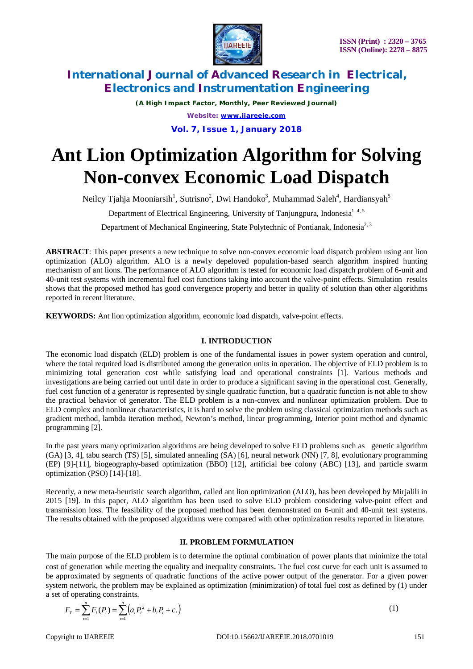

*(A High Impact Factor, Monthly, Peer Reviewed Journal) Website: [www.ijareeie.com](http://www.ijareeie.com)*

**Vol. 7, Issue 1, January 2018**

# **Ant Lion Optimization Algorithm for Solving Non-convex Economic Load Dispatch**

Neilcy Tjahja Mooniarsih<sup>1</sup>, Sutrisno<sup>2</sup>, Dwi Handoko<sup>3</sup>, Muhammad Saleh<sup>4</sup>, Hardiansyah<sup>5</sup>

Department of Electrical Engineering, University of Tanjungpura, Indonesia<sup>1,4,5</sup>

Department of Mechanical Engineering, State Polytechnic of Pontianak, Indonesia<sup>2, 3</sup>

**ABSTRACT**: This paper presents a new technique to solve non-convex economic load dispatch problem using ant lion optimization (ALO) algorithm. ALO is a newly depeloved population-based search algorithm inspired hunting mechanism of ant lions. The performance of ALO algorithm is tested for economic load dispatch problem of 6-unit and 40-unit test systems with incremental fuel cost functions taking into account the valve-point effects. Simulation results shows that the proposed method has good convergence property and better in quality of solution than other algorithms reported in recent literature.

**KEYWORDS:** Ant lion optimization algorithm, economic load dispatch, valve-point effects.

# **I. INTRODUCTION**

The economic load dispatch (ELD) problem is one of the fundamental issues in power system operation and control, where the total required load is distributed among the generation units in operation. The objective of ELD problem is to minimizing total generation cost while satisfying load and operational constraints [1]. Various methods and investigations are being carried out until date in order to produce a significant saving in the operational cost. Generally, fuel cost function of a generator is represented by single quadratic function, but a quadratic function is not able to show the practical behavior of generator. The ELD problem is a non-convex and nonlinear optimization problem. Due to ELD complex and nonlinear characteristics, it is hard to solve the problem using classical optimization methods such as gradient method, lambda iteration method, Newton's method, linear programming, Interior point method and dynamic programming [2].

In the past years many optimization algorithms are being developed to solve ELD problems such as genetic algorithm (GA) [3, 4], tabu search (TS) [5], simulated annealing (SA) [6], neural network (NN) [7, 8], evolutionary programming (EP) [9]-[11], biogeography-based optimization (BBO) [12], artificial bee colony (ABC) [13], and particle swarm optimization (PSO) [14]-[18].

Recently, a new meta-heuristic search algorithm, called ant lion optimization (ALO), has been developed by Mirjalili in 2015 [19]. In this paper, ALO algorithm has been used to solve ELD problem considering valve-point effect and transmission loss. The feasibility of the proposed method has been demonstrated on 6-unit and 40-unit test systems. The results obtained with the proposed algorithms were compared with other optimization results reported in literature.

## **II. PROBLEM FORMULATION**

The main purpose of the ELD problem is to determine the optimal combination of power plants that minimize the total cost of generation while meeting the equality and inequality constraints. The fuel cost curve for each unit is assumed to be approximated by segments of quadratic functions of the active power output of the generator. For a given power system network, the problem may be explained as optimization (minimization) of total fuel cost as defined by (1) under a set of operating constraints.

$$
F_T = \sum_{i=1}^n F_i(P_i) = \sum_{i=1}^n \left( a_i P_i^2 + b_i P_i + c_i \right) \tag{1}
$$

Copyright to UAREEIE DOI:10.15662/IJAREEIE.2018.0701019 151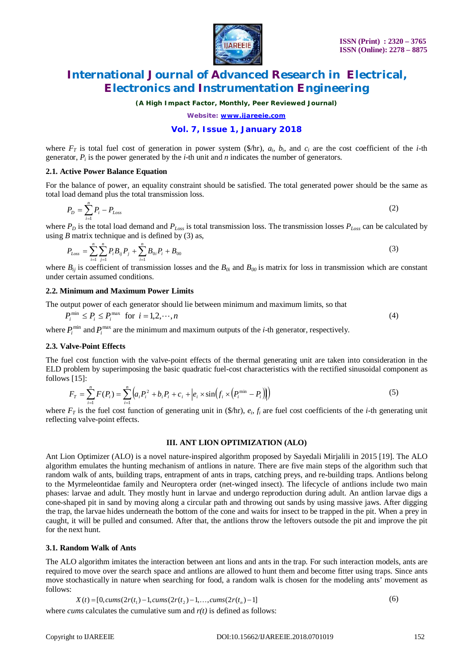

*(A High Impact Factor, Monthly, Peer Reviewed Journal)*

*Website: [www.ijareeie.com](http://www.ijareeie.com)*

# **Vol. 7, Issue 1, January 2018**

where  $F_T$  is total fuel cost of generation in power system (\$/hr),  $a_i$ ,  $b_i$ , and  $c_i$  are the cost coefficient of the *i*-th generator,  $P_i$  is the power generated by the *i*-th unit and *n* indicates the number of generators.

#### **2.1. Active Power Balance Equation**

For the balance of power, an equality constraint should be satisfied. The total generated power should be the same as total load demand plus the total transmission loss.

$$
P_D = \sum_{i=1}^{n} P_i - P_{Loss} \tag{2}
$$

where  $P_D$  is the total load demand and  $P_{Loss}$  is total transmission loss. The transmission losses  $P_{Loss}$  can be calculated by using *B* matrix technique and is defined by  $(3)$  as,

$$
P_{Loss} = \sum_{i=1}^{n} \sum_{j=1}^{n} P_{i} B_{ij} P_{j} + \sum_{i=1}^{n} B_{0i} P_{i} + B_{00}
$$
\n(3)

where  $B_{ij}$  is coefficient of transmission losses and the  $B_{0i}$  and  $B_{00}$  is matrix for loss in transmission which are constant under certain assumed conditions.

#### **2.2. Minimum and Maximum Power Limits**

The output power of each generator should lie between minimum and maximum limits, so that

 $P_i^{\min} \le P_i \le P_i^{\max}$  for  $i = 1, 2, \dots, n$  (4)

where  $P_i^{\min}$  and  $P_i^{\max}$  are the minimum and maximum outputs of the *i*-th generator, respectively.

#### **2.3. Valve-Point Effects**

The fuel cost function with the valve-point effects of the thermal generating unit are taken into consideration in the ELD problem by superimposing the basic quadratic fuel-cost characteristics with the rectified sinusoidal component as follows [15]:

$$
F_T = \sum_{i=1}^n F(P_i) = \sum_{i=1}^n \left( a_i P_i^2 + b_i P_i + c_i + \left| e_i \times \sin\left(f_i \times \left(P_i^{\min} - P_i\right)\right) \right) \right) \tag{5}
$$

where  $F_T$  is the fuel cost function of generating unit in  $(\frac{F}{F})$ ,  $e_i$ ,  $f_i$  are fuel cost coefficients of the *i*-th generating unit reflecting valve-point effects.

#### **III. ANT LION OPTIMIZATION (ALO)**

Ant Lion Optimizer (ALO) is a novel nature-inspired algorithm proposed by Sayedali Mirjalili in 2015 [19]. The ALO algorithm emulates the hunting mechanism of antlions in nature. There are five main steps of the algorithm such that random walk of ants, building traps, entrapment of ants in traps, catching preys, and re-building traps. Antlions belong to the Myrmeleontidae family and Neuroptera order (net-winged insect). The lifecycle of antlions include two main phases: larvae and adult. They mostly hunt in larvae and undergo reproduction during adult. An antlion larvae digs a cone-shaped pit in sand by moving along a circular path and throwing out sands by using massive jaws. After digging the trap, the larvae hides underneath the bottom of the cone and waits for insect to be trapped in the pit. When a prey in caught, it will be pulled and consumed. After that, the antlions throw the leftovers outsode the pit and improve the pit for the next hunt.

#### **3.1. Random Walk of Ants**

The ALO algorithm imitates the interaction between ant lions and ants in the trap. For such interaction models, ants are required to move over the search space and antlions are allowed to hunt them and become fitter using traps. Since ants move stochastically in nature when searching for food, a random walk is chosen for the modeling ants' movement as follows:

$$
X(t) = [0, cums(2r(t1) - 1, cums(2r(t2) - 1, ..., cums(2r(tn) - 1)]
$$
\n(6)

where *cums* calculates the cumulative sum and *r(t)* is defined as follows: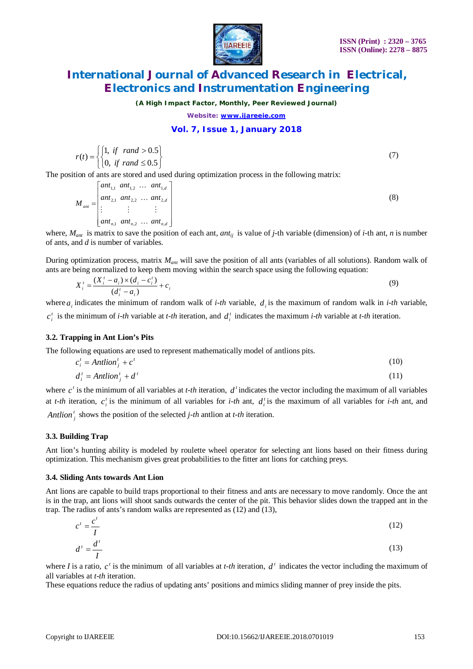

*(A High Impact Factor, Monthly, Peer Reviewed Journal)*

*Website: [www.ijareeie.com](http://www.ijareeie.com)*

### **Vol. 7, Issue 1, January 2018**

$$
r(t) = \begin{cases} \begin{cases} 1, & \text{if } \text{rand} > 0.5 \\ 0, & \text{if } \text{rand} \le 0.5 \end{cases} \end{cases} \tag{7}
$$

The position of ants are stored and used during optimization process in the following matrix:

$$
M_{ant} = \begin{bmatrix} ant_{1,1} & ant_{1,2} & \dots & ant_{1,d} \\ ant_{2,1} & ant_{2,2} & \dots & ant_{2,d} \\ \vdots & \vdots & \vdots & \vdots \\ ant_{n,1} & ant_{n,2} & \dots & ant_{n,d} \end{bmatrix}
$$
 (8)

where,  $M_{ant}$  is matrix to save the position of each ant, *ant<sub>ij</sub>* is value of *j*-th variable (dimension) of *i*-th ant, *n* is number of ants, and *d* is number of variables.

During optimization process, matrix *Mant* will save the position of all ants (variables of all solutions). Random walk of ants are being normalized to keep them moving within the search space using the following equation:

$$
X_i^t = \frac{(X_i^t - a_i) \times (d_i - c_i^t)}{(d_i^t - a_i)} + c_i
$$
\n(9)

where  $a_i$  indicates the minimum of random walk of *i-th* variable,  $d_i$  is the maximum of random walk in *i-th* variable,  $c_i^t$  is the minimum of *i-th* variable at *t-th* iteration, and  $d_i^t$  indicates the maximum *i-th* variable at *t-th* iteration.

### **3.2. Trapping in Ant Lion's Pits**

The following equations are used to represent mathematically model of antlions pits.

 $c_i^t = Antlion_i^t + c^t$  (10)

$$
d_i^t = Antlion_j^t + d^t \tag{11}
$$

where  $c^t$  is the minimum of all variables at *t-th* iteration,  $d^t$  indicates the vector including the maximum of all variables at *t-th* iteration,  $c_i^t$  is the minimum of all variables for *i-th* ant,  $d_i^t$  is the maximum of all variables for *i-th* ant, and *Antlion*<sup> $t$ </sup><sub>*j*</sub> shows the position of the selected *j-th* antlion at *t-th* iteration.

**3.3. Building Trap**

Ant lion's hunting ability is modeled by roulette wheel operator for selecting ant lions based on their fitness during optimization. This mechanism gives great probabilities to the fitter ant lions for catching preys.

#### **3.4. Sliding Ants towards Ant Lion**

Ant lions are capable to build traps proportional to their fitness and ants are necessary to move randomly. Once the ant is in the trap, ant lions will shoot sands outwards the center of the pit. This behavior slides down the trapped ant in the trap. The radius of ants's random walks are represented as (12) and (13),

$$
c^t = \frac{c^t}{I}
$$
(12)  

$$
d^t = \frac{d^t}{I}
$$
(13)

where *I* is a ratio,  $c^t$  is the minimum of all variables at *t-th* iteration,  $d^t$  indicates the vector including the maximum of all variables at *t-th* iteration.

These equations reduce the radius of updating ants' positions and mimics sliding manner of prey inside the pits.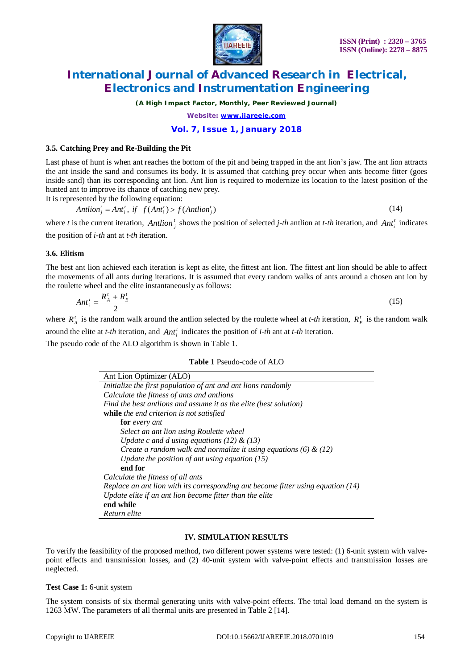

*(A High Impact Factor, Monthly, Peer Reviewed Journal)*

*Website: [www.ijareeie.com](http://www.ijareeie.com)*

### **Vol. 7, Issue 1, January 2018**

#### **3.5. Catching Prey and Re-Building the Pit**

Last phase of hunt is when ant reaches the bottom of the pit and being trapped in the ant lion's jaw. The ant lion attracts the ant inside the sand and consumes its body. It is assumed that catching prey occur when ants become fitter (goes inside sand) than its corresponding ant lion. Ant lion is required to modernize its location to the latest position of the hunted ant to improve its chance of catching new prey.

It is represented by the following equation:

$$
Antlionjt = Antit, if f(Antit) > f(Antlionjt)
$$
\n(14)

where *t* is the current iteration, *Antlion*<sup>*t*</sup><sub>*j*</sub> shows the position of selected *j-th* antlion at *t-th* iteration, and *Ant*<sup>*t*</sup><sub>*i*</sub> indicates the position of *i-th* ant at *t-th* iteration.

#### **3.6. Elitism**

The best ant lion achieved each iteration is kept as elite, the fittest ant lion. The fittest ant lion should be able to affect the movements of all ants during iterations. It is assumed that every random walks of ants around a chosen ant ion by the roulette wheel and the elite instantaneously as follows:

$$
Ant_i^t = \frac{R_A^t + R_E^t}{2} \tag{15}
$$

where  $R_A^t$  is the random walk around the antlion selected by the roulette wheel at *t-th* iteration,  $R_E^t$  is the random walk around the elite at *t-th* iteration, and  $Ant_i^t$  indicates the position of *i-th* ant at *t-th* iteration.

The pseudo code of the ALO algorithm is shown in Table 1.

| Table 1 Pseudo-code of ALO |  |
|----------------------------|--|
|----------------------------|--|

| Ant Lion Optimizer (ALO)                                                           |
|------------------------------------------------------------------------------------|
| Initialize the first population of ant and ant lions randomly                      |
| Calculate the fitness of ants and antlions                                         |
| Find the best antlions and assume it as the elite (best solution)                  |
| while the end criterion is not satisfied                                           |
| for every ant                                                                      |
| Select an ant lion using Roulette wheel                                            |
| Update c and d using equations (12) $\&$ (13)                                      |
| Create a random walk and normalize it using equations (6) $\&$ (12)                |
| Update the position of ant using equation $(15)$                                   |
| end for                                                                            |
| Calculate the fitness of all ants                                                  |
| Replace an ant lion with its corresponding ant become fitter using equation $(14)$ |
| Update elite if an ant lion become fitter than the elite                           |
| end while                                                                          |
| Return elite                                                                       |

#### **IV. SIMULATION RESULTS**

To verify the feasibility of the proposed method, two different power systems were tested: (1) 6-unit system with valvepoint effects and transmission losses, and (2) 40-unit system with valve-point effects and transmission losses are neglected.

#### **Test Case 1:** 6-unit system

The system consists of six thermal generating units with valve-point effects. The total load demand on the system is 1263 MW. The parameters of all thermal units are presented in Table 2 [14].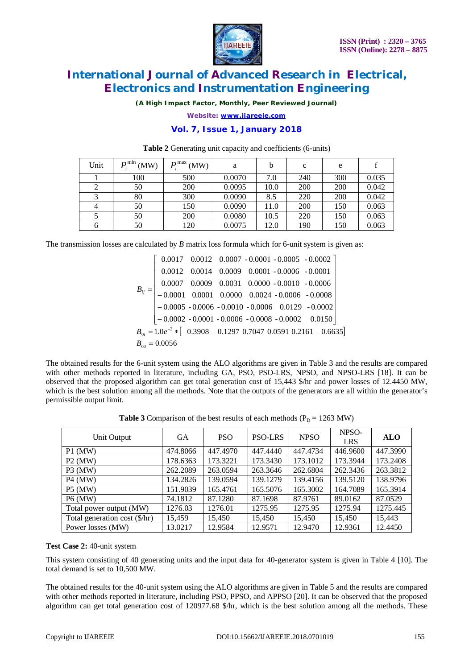

*(A High Impact Factor, Monthly, Peer Reviewed Journal)*

*Website: [www.ijareeie.com](http://www.ijareeie.com)*

## **Vol. 7, Issue 1, January 2018**

| Unit | $P_i^{\min}$ (MW) | $P_{\rm i}^{\rm max}$<br>(MW) | a      | b    | c   | e   |       |
|------|-------------------|-------------------------------|--------|------|-----|-----|-------|
|      | 100               | 500                           | 0.0070 | 7.0  | 240 | 300 | 0.035 |
|      | 50                | 200                           | 0.0095 | 10.0 | 200 | 200 | 0.042 |
|      | 80                | 300                           | 0.0090 | 8.5  | 220 | 200 | 0.042 |
|      | 50                | 150                           | 0.0090 | 11.0 | 200 | 150 | 0.063 |
|      | 50                | 200                           | 0.0080 | 10.5 | 220 | 150 | 0.063 |
|      | 50                | 120                           | 0.0075 | 12.0 | 190 | 150 | 0.063 |

#### **Table 2** Generating unit capacity and coefficients (6-units)

The transmission losses are calculated by *B* matrix loss formula which for 6-unit system is given as:

| $\begin{bmatrix} 0.0017 & 0.0012 & 0.0007 & -0.0001 & -0.0005 & -0.0002 \end{bmatrix}$                                                                   |  |                                                                                             |  |
|----------------------------------------------------------------------------------------------------------------------------------------------------------|--|---------------------------------------------------------------------------------------------|--|
|                                                                                                                                                          |  | $0.0012 \quad 0.0014 \quad 0.0009 \quad 0.0001 \; \text{-} \, 0.0006 \quad \text{-} 0.0001$ |  |
|                                                                                                                                                          |  |                                                                                             |  |
| $B_{ij} = \begin{bmatrix} 0.0007 & 0.0009 & 0.0031 & 0.0000 & -0.0010 & -0.0006 \\ -0.0001 & 0.0001 & 0.0000 & 0.0024 & -0.0006 & -0.0008 \end{bmatrix}$ |  |                                                                                             |  |
| $-0.0005 - 0.0006 - 0.0010 - 0.0006 - 0.0129 - 0.0002$                                                                                                   |  |                                                                                             |  |
| $[-0.0002 - 0.0001 - 0.0006 - 0.0008 - 0.0002 \quad 0.0150]$                                                                                             |  |                                                                                             |  |
| $B_{0i} = 1.0e^{-3}$ * $[-0.3908 - 0.1297 0.7047 0.0591 0.2161 - 0.6635]$                                                                                |  |                                                                                             |  |
| $B_{00} = 0.0056$                                                                                                                                        |  |                                                                                             |  |

The obtained results for the 6-unit system using the ALO algorithms are given in Table 3 and the results are compared with other methods reported in literature, including GA, PSO, PSO-LRS, NPSO, and NPSO-LRS [18]. It can be observed that the proposed algorithm can get total generation cost of 15,443 \$/hr and power losses of 12.4450 MW, which is the best solution among all the methods. Note that the outputs of the generators are all within the generator's permissible output limit.

| Unit Output                   | <b>GA</b> | <b>PSO</b> | <b>PSO-LRS</b> | NPSO     | NPSO-<br><b>LRS</b> | <b>ALO</b> |
|-------------------------------|-----------|------------|----------------|----------|---------------------|------------|
| $P1$ (MW)                     | 474.8066  | 447.4970   | 447.4440       | 447.4734 | 446.9600            | 447.3990   |
| $P2$ (MW)                     | 178.6363  | 173.3221   | 173.3430       | 173.1012 | 173.3944            | 173.2408   |
| $P3$ (MW)                     | 262.2089  | 263.0594   | 263.3646       | 262.6804 | 262.3436            | 263.3812   |
| <b>P4 (MW)</b>                | 134.2826  | 139.0594   | 139.1279       | 139.4156 | 139.5120            | 138.9796   |
| <b>P5 (MW)</b>                | 151.9039  | 165.4761   | 165.5076       | 165.3002 | 164.7089            | 165.3914   |
| <b>P6 (MW)</b>                | 74.1812   | 87.1280    | 87.1698        | 87.9761  | 89.0162             | 87.0529    |
| Total power output (MW)       | 1276.03   | 1276.01    | 1275.95        | 1275.95  | 1275.94             | 1275.445   |
| Total generation cost (\$/hr) | 15.459    | 15.450     | 15.450         | 15.450   | 15.450              | 15.443     |
| Power losses (MW)             | 13.0217   | 12.9584    | 12.9571        | 12.9470  | 12.9361             | 12.4450    |

**Table 3** Comparison of the best results of each methods ( $P_D = 1263$  MW)

### **Test Case 2:** 40-unit system

This system consisting of 40 generating units and the input data for 40-generator system is given in Table 4 [10]. The total demand is set to 10,500 MW.

The obtained results for the 40-unit system using the ALO algorithms are given in Table 5 and the results are compared with other methods reported in literature, including PSO, PPSO, and APPSO [20]. It can be observed that the proposed algorithm can get total generation cost of 120977.68 \$/hr, which is the best solution among all the methods. These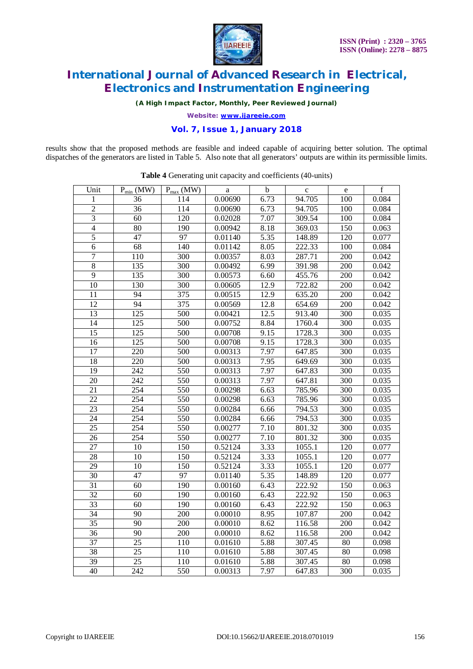

*(A High Impact Factor, Monthly, Peer Reviewed Journal)*

*Website: [www.ijareeie.com](http://www.ijareeie.com)*

## **Vol. 7, Issue 1, January 2018**

results show that the proposed methods are feasible and indeed capable of acquiring better solution. The optimal dispatches of the generators are listed in Table 5. Also note that all generators' outputs are within its permissible limits.

| Unit            | $P_{min}$ (MW)   | $P_{max}$ (MW)   | a       | $\mathbf b$       | $\mathbf{c}$ | ${\bf e}$        | $\mathbf f$ |
|-----------------|------------------|------------------|---------|-------------------|--------------|------------------|-------------|
| 1               | 36               | 114              | 0.00690 | 6.73              | 94.705       | 100              | 0.084       |
| $\overline{2}$  | 36               | 114              | 0.00690 | 6.73              | 94.705       | 100              | 0.084       |
| $\overline{3}$  | $\overline{60}$  | $\overline{120}$ | 0.02028 | 7.07              | 309.54       | 100              | 0.084       |
| $\overline{4}$  | $\overline{80}$  | 190              | 0.00942 | 8.18              | 369.03       | 150              | 0.063       |
| $\overline{5}$  | $\overline{47}$  | 97               | 0.01140 | $\overline{5.35}$ | 148.89       | 120              | 0.077       |
| $\sqrt{6}$      | 68               | 140              | 0.01142 | 8.05              | 222.33       | 100              | 0.084       |
| $\overline{7}$  | $\overline{1}10$ | 300              | 0.00357 | 8.03              | 287.71       | 200              | 0.042       |
| $\overline{8}$  | 135              | 300              | 0.00492 | 6.99              | 391.98       | <b>200</b>       | 0.042       |
| $\overline{9}$  | 135              | 300              | 0.00573 | $6.\overline{60}$ | 455.76       | 200              | 0.042       |
| 10              | 130              | $\overline{300}$ | 0.00605 | 12.9              | 722.82       | 200              | 0.042       |
| 11              | $\overline{94}$  | $\overline{375}$ | 0.00515 | 12.9              | 635.20       | 200              | 0.042       |
| 12              | 94               | 375              | 0.00569 | 12.8              | 654.69       | 200              | 0.042       |
| $\overline{13}$ | 125              | $\overline{500}$ | 0.00421 | 12.5              | 913.40       | 300              | 0.035       |
| 14              | 125              | 500              | 0.00752 | 8.84              | 1760.4       | 300              | 0.035       |
| $\overline{15}$ | $\overline{125}$ | $\overline{500}$ | 0.00708 | 9.15              | 1728.3       | $\overline{300}$ | 0.035       |
| 16              | $\overline{125}$ | $\overline{5}00$ | 0.00708 | 9.15              | 1728.3       | $\overline{300}$ | 0.035       |
| 17              | $\overline{220}$ | 500              | 0.00313 | 7.97              | 647.85       | 300              | 0.035       |
| $\overline{18}$ | $\overline{220}$ | $\overline{500}$ | 0.00313 | 7.95              | 649.69       | $\overline{3}00$ | 0.035       |
| $\overline{19}$ | $\overline{242}$ | 550              | 0.00313 | 7.97              | 647.83       | $\overline{300}$ | 0.035       |
| $\overline{20}$ | 242              | 550              | 0.00313 | 7.97              | 647.81       | 300              | 0.035       |
| $\overline{21}$ | $\overline{254}$ | 550              | 0.00298 | 6.63              | 785.96       | 300              | 0.035       |
| 22              | 254              | 550              | 0.00298 | 6.63              | 785.96       | 300              | 0.035       |
| 23              | $\overline{254}$ | 550              | 0.00284 | 6.66              | 794.53       | 300              | 0.035       |
| $\overline{24}$ | $\overline{254}$ | 550              | 0.00284 | 6.66              | 794.53       | 300              | 0.035       |
| 25              | 254              | 550              | 0.00277 | 7.10              | 801.32       | 300              | 0.035       |
| $\overline{26}$ | 254              | 550              | 0.00277 | 7.10              | 801.32       | $\overline{300}$ | 0.035       |
| 27              | 10               | 150              | 0.52124 | 3.33              | 1055.1       | 120              | 0.077       |
| $\overline{28}$ | 10               | $\overline{150}$ | 0.52124 | 3.33              | 1055.1       | 120              | 0.077       |
| $\overline{29}$ | 10               | $\overline{150}$ | 0.52124 | 3.33              | 1055.1       | 120              | 0.077       |
| 30              | $\overline{47}$  | $\overline{97}$  | 0.01140 | $\overline{5.35}$ | 148.89       | 120              | 0.077       |
| $\overline{31}$ | 60               | 190              | 0.00160 | 6.43              | 222.92       | 150              | 0.063       |
| $\overline{32}$ | 60               | 190              | 0.00160 | 6.43              | 222.92       | 150              | 0.063       |
| $\overline{33}$ | 60               | 190              | 0.00160 | 6.43              | 222.92       | 150              | 0.063       |
| 34              | $\overline{90}$  | <b>200</b>       | 0.00010 | 8.95              | 107.87       | 200              | 0.042       |
| $\overline{35}$ | $\overline{90}$  | $\overline{200}$ | 0.00010 | 8.62              | 116.58       | 200              | 0.042       |
| 36              | 90               | 200              | 0.00010 | 8.62              | 116.58       | 200              | 0.042       |
| 37              | $\overline{25}$  | 110              | 0.01610 | 5.88              | 307.45       | 80               | 0.098       |
| 38              | 25               | 110              | 0.01610 | 5.88              | 307.45       | 80               | 0.098       |
| 39              | 25               | 110              | 0.01610 | 5.88              | 307.45       | 80               | 0.098       |
| 40              | 242              | 550              | 0.00313 | 7.97              | 647.83       | 300              | 0.035       |

**Table 4** Generating unit capacity and coefficients (40-units)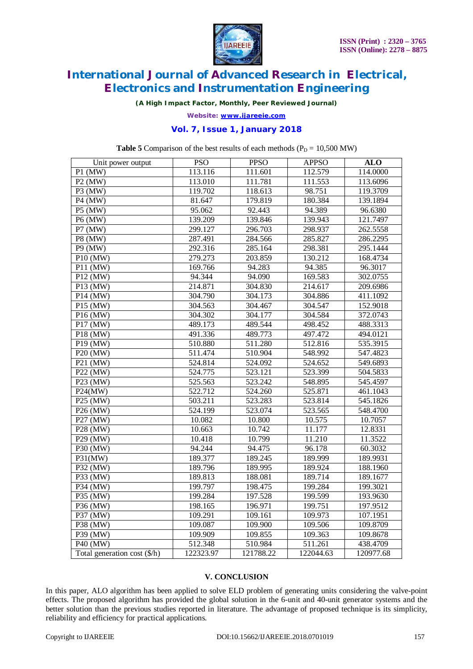

*(A High Impact Factor, Monthly, Peer Reviewed Journal)*

*Website: [www.ijareeie.com](http://www.ijareeie.com)*

# **Vol. 7, Issue 1, January 2018**

**Table 5** Comparison of the best results of each methods ( $P_D = 10,500$  MW)

| Unit power output            | <b>PSO</b> | <b>PPSO</b> | <b>APPSO</b> | <b>ALO</b> |
|------------------------------|------------|-------------|--------------|------------|
| $P1$ (MW)                    | 113.116    | 111.601     | 112.579      | 114.0000   |
| $P2$ (MW)                    | 113.010    | 111.781     | 111.553      | 113.6096   |
| $P3$ (MW)                    | 119.702    | 118.613     | 98.751       | 119.3709   |
| $P4$ (MW)                    | 81.647     | 179.819     | 180.384      | 139.1894   |
| P5 (MW)                      | 95.062     | 92.443      | 94.389       | 96.6380    |
| P6 (MW)                      | 139.209    | 139.846     | 139.943      | 121.7497   |
| P7 (MW)                      | 299.127    | 296.703     | 298.937      | 262.5558   |
| P8 (MW)                      | 287.491    | 284.566     | 285.827      | 286.2295   |
| P9 (MW)                      | 292.316    | 285.164     | 298.381      | 295.1444   |
| P10 (MW)                     | 279.273    | 203.859     | 130.212      | 168.4734   |
| P11 (MW)                     | 169.766    | 94.283      | 94.385       | 96.3017    |
| $\overline{P1}2$ (MW)        | 94.344     | 94.090      | 169.583      | 302.0755   |
| P13 (MW)                     | 214.871    | 304.830     | 214.617      | 209.6986   |
| P14 (MW)                     | 304.790    | 304.173     | 304.886      | 411.1092   |
| P15 (MW)                     | 304.563    | 304.467     | 304.547      | 152.9018   |
| $\overline{P1}6$ (MW)        | 304.302    | 304.177     | 304.584      | 372.0743   |
| P17 (MW)                     | 489.173    | 489.544     | 498.452      | 488.3313   |
| P18 (MW)                     | 491.336    | 489.773     | 497.472      | 494.0121   |
| P19 (MW)                     | 510.880    | 511.280     | 512.816      | 535.3915   |
| P20 (MW)                     | 511.474    | 510.904     | 548.992      | 547.4823   |
| P21 (MW)                     | 524.814    | 524.092     | 524.652      | 549.6893   |
| P22 (MW)                     | 524.775    | 523.121     | 523.399      | 504.5833   |
| P23 (MW)                     | 525.563    | 523.242     | 548.895      | 545.4597   |
| P24(MW)                      | 522.712    | 524.260     | 525.871      | 461.1043   |
| $P25$ (MW)                   | 503.211    | 523.283     | 523.814      | 545.1826   |
| $P26$ (MW)                   | 524.199    | 523.074     | 523.565      | 548.4700   |
| P27 (MW)                     | 10.082     | 10.800      | 10.575       | 10.7057    |
| $P28$ (MW)                   | 10.663     | 10.742      | 11.177       | 12.8331    |
| P29 (MW)                     | 10.418     | 10.799      | 11.210       | 11.3522    |
| P30 (MW)                     | 94.244     | 94.475      | 96.178       | 60.3032    |
| P31(MW)                      | 189.377    | 189.245     | 189.999      | 189.9931   |
| P32 (MW)                     | 189.796    | 189.995     | 189.924      | 188.1960   |
| P33 (MW)                     | 189.813    | 188.081     | 189.714      | 189.1677   |
| $\overline{P3}4$ (MW)        | 199.797    | 198.475     | 199.284      | 199.3021   |
| $\overline{P35}$ (MW)        | 199.284    | 197.528     | 199.599      | 193.9630   |
| P36 (MW)                     | 198.165    | 196.971     | 199.751      | 197.9512   |
| $P37$ (MW)                   | 109.291    | 109.161     | 109.973      | 107.1951   |
| P38 (MW)                     | 109.087    | 109.900     | 109.506      | 109.8709   |
| P39 (MW)                     | 109.909    | 109.855     | 109.363      | 109.8678   |
| P40 (MW)                     | 512.348    | 510.984     | 511.261      | 438.4709   |
| Total generation cost (\$/h) | 122323.97  | 121788.22   | 122044.63    | 120977.68  |

### **V. CONCLUSION**

In this paper, ALO algorithm has been applied to solve ELD problem of generating units considering the valve-point effects. The proposed algorithm has provided the global solution in the 6-unit and 40-unit generator systems and the better solution than the previous studies reported in literature. The advantage of proposed technique is its simplicity, reliability and efficiency for practical applications.